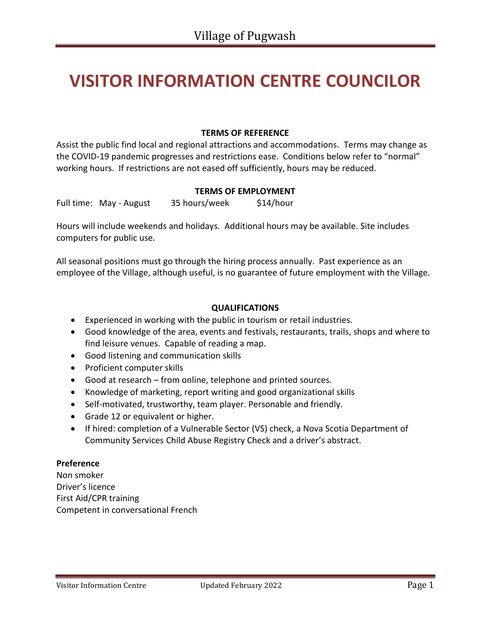# **VISITOR INFORMATION CENTRE COUNCILOR**

#### **TERMS OF REFERENCE**

Assist the public find local and regional attractions and accommodations. Terms may change as the COVID-19 pandemic progresses and restrictions ease. Conditions below refer to "normal" working hours. If restrictions are not eased off sufficiently, hours may be reduced.

#### **TERMS OF EMPLOYMENT**

Full time: May - August 35 hours/week \$14/hour

Hours will include weekends and holidays. Additional hours may be available. Site includes computers for public use.

All seasonal positions must go through the hiring process annually. Past experience as an employee of the Village, although useful, is no guarantee of future employment with the Village.

#### **QUALIFICATIONS**

- Experienced in working with the public in tourism or retail industries.
- Good knowledge of the area, events and festivals, restaurants, trails, shops and where to find leisure venues. Capable of reading a map.
- Good listening and communication skills
- Proficient computer skills
- Good at research from online, telephone and printed sources.
- Knowledge of marketing, report writing and good organizational skills
- Self-motivated, trustworthy, team player. Personable and friendly.
- Grade 12 or equivalent or higher.
- If hired: completion of a Vulnerable Sector (VS) check, a Nova Scotia Department of Community Services Child Abuse Registry Check and a driver's abstract.

#### **Preference**

Non smoker Driver's licence First Aid/CPR training Competent in conversational French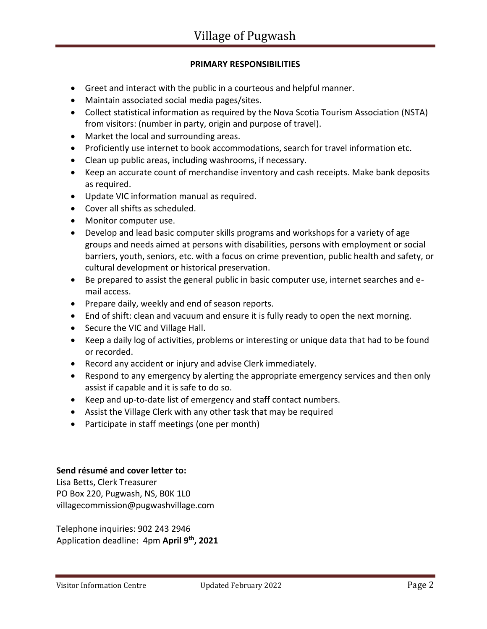# **PRIMARY RESPONSIBILITIES**

- Greet and interact with the public in a courteous and helpful manner.
- Maintain associated social media pages/sites.
- Collect statistical information as required by the Nova Scotia Tourism Association (NSTA) from visitors: (number in party, origin and purpose of travel).
- Market the local and surrounding areas.
- Proficiently use internet to book accommodations, search for travel information etc.
- Clean up public areas, including washrooms, if necessary.
- Keep an accurate count of merchandise inventory and cash receipts. Make bank deposits as required.
- Update VIC information manual as required.
- Cover all shifts as scheduled.
- Monitor computer use.
- Develop and lead basic computer skills programs and workshops for a variety of age groups and needs aimed at persons with disabilities, persons with employment or social barriers, youth, seniors, etc. with a focus on crime prevention, public health and safety, or cultural development or historical preservation.
- Be prepared to assist the general public in basic computer use, internet searches and email access.
- Prepare daily, weekly and end of season reports.
- End of shift: clean and vacuum and ensure it is fully ready to open the next morning.
- Secure the VIC and Village Hall.
- Keep a daily log of activities, problems or interesting or unique data that had to be found or recorded.
- Record any accident or injury and advise Clerk immediately.
- Respond to any emergency by alerting the appropriate emergency services and then only assist if capable and it is safe to do so.
- Keep and up-to-date list of emergency and staff contact numbers.
- Assist the Village Clerk with any other task that may be required
- Participate in staff meetings (one per month)

## **Send résumé and cover letter to:**

Lisa Betts, Clerk Treasurer PO Box 220, Pugwash, NS, B0K 1L0 [villagecommission@pugwashvillage.com](mailto:villagecommission@pugwashvillage.com)

Telephone inquiries: 902 243 2946 Application deadline: 4pm **April 9th, 2021**